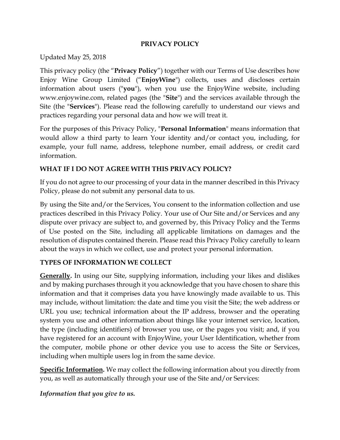### **PRIVACY POLICY**

Updated May 25, 2018

This privacy policy (the "**Privacy Policy**") together with our Terms of Use describes how Enjoy Wine Group Limited ("**EnjoyWine**") collects, uses and discloses certain information about users ("**you**"), when you use the EnjoyWine website, including www.enjoywine.com, related pages (the "**Site**") and the services available through the Site (the "**Services**"). Please read the following carefully to understand our views and practices regarding your personal data and how we will treat it.

For the purposes of this Privacy Policy, "**Personal Information**" means information that would allow a third party to learn Your identity and/or contact you, including, for example, your full name, address, telephone number, email address, or credit card information.

### **WHAT IF I DO NOT AGREE WITH THIS PRIVACY POLICY?**

If you do not agree to our processing of your data in the manner described in this Privacy Policy, please do not submit any personal data to us.

By using the Site and/or the Services, You consent to the information collection and use practices described in this Privacy Policy. Your use of Our Site and/or Services and any dispute over privacy are subject to, and governed by, this Privacy Policy and the Terms of Use posted on the Site, including all applicable limitations on damages and the resolution of disputes contained therein. Please read this Privacy Policy carefully to learn about the ways in which we collect, use and protect your personal information.

### **TYPES OF INFORMATION WE COLLECT**

**Generally.** In using our Site, supplying information, including your likes and dislikes and by making purchases through it you acknowledge that you have chosen to share this information and that it comprises data you have knowingly made available to us. This may include, without limitation: the date and time you visit the Site; the web address or URL you use; technical information about the IP address, browser and the operating system you use and other information about things like your internet service, location, the type (including identifiers) of browser you use, or the pages you visit; and, if you have registered for an account with EnjoyWine, your User Identification, whether from the computer, mobile phone or other device you use to access the Site or Services, including when multiple users log in from the same device.

**Specific Information.** We may collect the following information about you directly from you, as well as automatically through your use of the Site and/or Services:

*Information that you give to us.*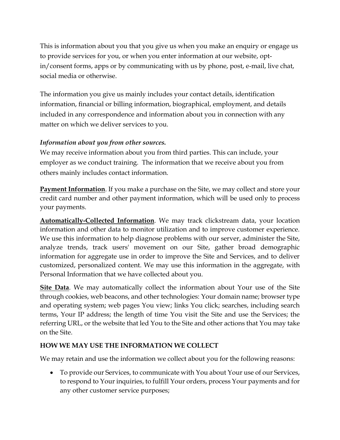This is information about you that you give us when you make an enquiry or engage us to provide services for you, or when you enter information at our website, optin/consent forms, apps or by communicating with us by phone, post, e-mail, live chat, social media or otherwise.

The information you give us mainly includes your contact details, identification information, financial or billing information, biographical, employment, and details included in any correspondence and information about you in connection with any matter on which we deliver services to you.

### *Information about you from other sources.*

We may receive information about you from third parties. This can include, your employer as we conduct training. The information that we receive about you from others mainly includes contact information.

**Payment Information**. If you make a purchase on the Site, we may collect and store your credit card number and other payment information, which will be used only to process your payments.

**Automatically-Collected Information**. We may track clickstream data, your location information and other data to monitor utilization and to improve customer experience. We use this information to help diagnose problems with our server, administer the Site, analyze trends, track users' movement on our Site, gather broad demographic information for aggregate use in order to improve the Site and Services, and to deliver customized, personalized content. We may use this information in the aggregate, with Personal Information that we have collected about you.

**Site Data**. We may automatically collect the information about Your use of the Site through cookies, web beacons, and other technologies: Your domain name; browser type and operating system; web pages You view; links You click; searches, including search terms, Your IP address; the length of time You visit the Site and use the Services; the referring URL, or the website that led You to the Site and other actions that You may take on the Site.

### **HOW WE MAY USE THE INFORMATION WE COLLECT**

We may retain and use the information we collect about you for the following reasons:

• To provide our Services, to communicate with You about Your use of our Services, to respond to Your inquiries, to fulfill Your orders, process Your payments and for any other customer service purposes;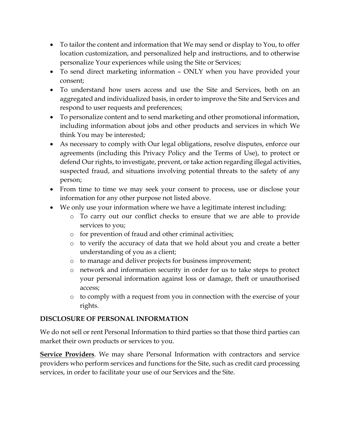- To tailor the content and information that We may send or display to You, to offer location customization, and personalized help and instructions, and to otherwise personalize Your experiences while using the Site or Services;
- To send direct marketing information ONLY when you have provided your consent;
- To understand how users access and use the Site and Services, both on an aggregated and individualized basis, in order to improve the Site and Services and respond to user requests and preferences;
- To personalize content and to send marketing and other promotional information, including information about jobs and other products and services in which We think You may be interested;
- As necessary to comply with Our legal obligations, resolve disputes, enforce our agreements (including this Privacy Policy and the Terms of Use), to protect or defend Our rights, to investigate, prevent, or take action regarding illegal activities, suspected fraud, and situations involving potential threats to the safety of any person;
- From time to time we may seek your consent to process, use or disclose your information for any other purpose not listed above.
- We only use your information where we have a legitimate interest including:
	- o To carry out our conflict checks to ensure that we are able to provide services to you;
	- o for prevention of fraud and other criminal activities;
	- o to verify the accuracy of data that we hold about you and create a better understanding of you as a client;
	- o to manage and deliver projects for business improvement;
	- o network and information security in order for us to take steps to protect your personal information against loss or damage, theft or unauthorised access;
	- o to comply with a request from you in connection with the exercise of your rights.

# **DISCLOSURE OF PERSONAL INFORMATION**

We do not sell or rent Personal Information to third parties so that those third parties can market their own products or services to you.

**Service Providers**. We may share Personal Information with contractors and service providers who perform services and functions for the Site, such as credit card processing services, in order to facilitate your use of our Services and the Site.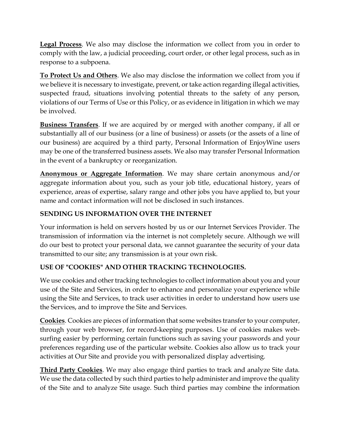**Legal Process**. We also may disclose the information we collect from you in order to comply with the law, a judicial proceeding, court order, or other legal process, such as in response to a subpoena.

**To Protect Us and Others**. We also may disclose the information we collect from you if we believe it is necessary to investigate, prevent, or take action regarding illegal activities, suspected fraud, situations involving potential threats to the safety of any person, violations of our Terms of Use or this Policy, or as evidence in litigation in which we may be involved.

**Business Transfers**. If we are acquired by or merged with another company, if all or substantially all of our business (or a line of business) or assets (or the assets of a line of our business) are acquired by a third party, Personal Information of EnjoyWine users may be one of the transferred business assets. We also may transfer Personal Information in the event of a bankruptcy or reorganization.

**Anonymous or Aggregate Information**. We may share certain anonymous and/or aggregate information about you, such as your job title, educational history, years of experience, areas of expertise, salary range and other jobs you have applied to, but your name and contact information will not be disclosed in such instances.

### **SENDING US INFORMATION OVER THE INTERNET**

Your information is held on servers hosted by us or our Internet Services Provider. The transmission of information via the internet is not completely secure. Although we will do our best to protect your personal data, we cannot guarantee the security of your data transmitted to our site; any transmission is at your own risk.

### **USE OF "COOKIES" AND OTHER TRACKING TECHNOLOGIES.**

We use cookies and other tracking technologies to collect information about you and your use of the Site and Services, in order to enhance and personalize your experience while using the Site and Services, to track user activities in order to understand how users use the Services, and to improve the Site and Services.

**Cookies**. Cookies are pieces of information that some websites transfer to your computer, through your web browser, for record-keeping purposes. Use of cookies makes websurfing easier by performing certain functions such as saving your passwords and your preferences regarding use of the particular website. Cookies also allow us to track your activities at Our Site and provide you with personalized display advertising.

**Third Party Cookies**. We may also engage third parties to track and analyze Site data. We use the data collected by such third parties to help administer and improve the quality of the Site and to analyze Site usage. Such third parties may combine the information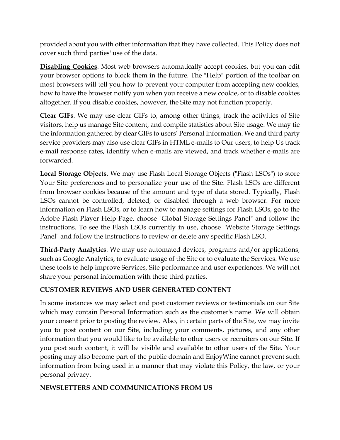provided about you with other information that they have collected. This Policy does not cover such third parties' use of the data.

**Disabling Cookies**. Most web browsers automatically accept cookies, but you can edit your browser options to block them in the future. The "Help" portion of the toolbar on most browsers will tell you how to prevent your computer from accepting new cookies, how to have the browser notify you when you receive a new cookie, or to disable cookies altogether. If you disable cookies, however, the Site may not function properly.

**Clear GIFs**. We may use clear GIFs to, among other things, track the activities of Site visitors, help us manage Site content, and compile statistics about Site usage. We may tie the information gathered by clear GIFs to users' Personal Information. We and third party service providers may also use clear GIFs in HTML e-mails to Our users, to help Us track e-mail response rates, identify when e-mails are viewed, and track whether e-mails are forwarded.

**Local Storage Objects**. We may use Flash Local Storage Objects ("Flash LSOs") to store Your Site preferences and to personalize your use of the Site. Flash LSOs are different from browser cookies because of the amount and type of data stored. Typically, Flash LSOs cannot be controlled, deleted, or disabled through a web browser. For more information on Flash LSOs, or to learn how to manage settings for Flash LSOs, go to the Adobe Flash Player Help Page, choose "Global Storage Settings Panel" and follow the instructions. To see the Flash LSOs currently in use, choose "Website Storage Settings Panel" and follow the instructions to review or delete any specific Flash LSO.

**Third-Party Analytics**. We may use automated devices, programs and/or applications, such as Google Analytics, to evaluate usage of the Site or to evaluate the Services. We use these tools to help improve Services, Site performance and user experiences. We will not share your personal information with these third parties.

### **CUSTOMER REVIEWS AND USER GENERATED CONTENT**

In some instances we may select and post customer reviews or testimonials on our Site which may contain Personal Information such as the customer's name. We will obtain your consent prior to posting the review. Also, in certain parts of the Site, we may invite you to post content on our Site, including your comments, pictures, and any other information that you would like to be available to other users or recruiters on our Site. If you post such content, it will be visible and available to other users of the Site. Your posting may also become part of the public domain and EnjoyWine cannot prevent such information from being used in a manner that may violate this Policy, the law, or your personal privacy.

### **NEWSLETTERS AND COMMUNICATIONS FROM US**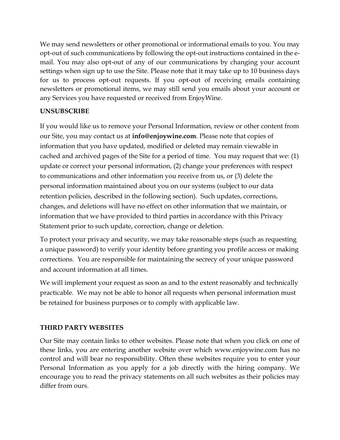We may send newsletters or other promotional or informational emails to you. You may opt-out of such communications by following the opt-out instructions contained in the email. You may also opt-out of any of our communications by changing your account settings when sign up to use the Site. Please note that it may take up to 10 business days for us to process opt-out requests. If you opt-out of receiving emails containing newsletters or promotional items, we may still send you emails about your account or any Services you have requested or received from EnjoyWine.

### **UNSUBSCRIBE**

If you would like us to remove your Personal Information, review or other content from our Site, you may contact us at **info@enjoywine.com**. Please note that copies of information that you have updated, modified or deleted may remain viewable in cached and archived pages of the Site for a period of time. You may request that we: (1) update or correct your personal information, (2) change your preferences with respect to communications and other information you receive from us, or (3) delete the personal information maintained about you on our systems (subject to our data retention policies, described in the following section). Such updates, corrections, changes, and deletions will have no effect on other information that we maintain, or information that we have provided to third parties in accordance with this Privacy Statement prior to such update, correction, change or deletion.

To protect your privacy and security, we may take reasonable steps (such as requesting a unique password) to verify your identity before granting you profile access or making corrections. You are responsible for maintaining the secrecy of your unique password and account information at all times.

We will implement your request as soon as and to the extent reasonably and technically practicable. We may not be able to honor all requests when personal information must be retained for business purposes or to comply with applicable law.

### **THIRD PARTY WEBSITES**

Our Site may contain links to other websites. Please note that when you click on one of these links, you are entering another website over which www.enjoywine.com has no control and will bear no responsibility. Often these websites require you to enter your Personal Information as you apply for a job directly with the hiring company. We encourage you to read the privacy statements on all such websites as their policies may differ from ours.